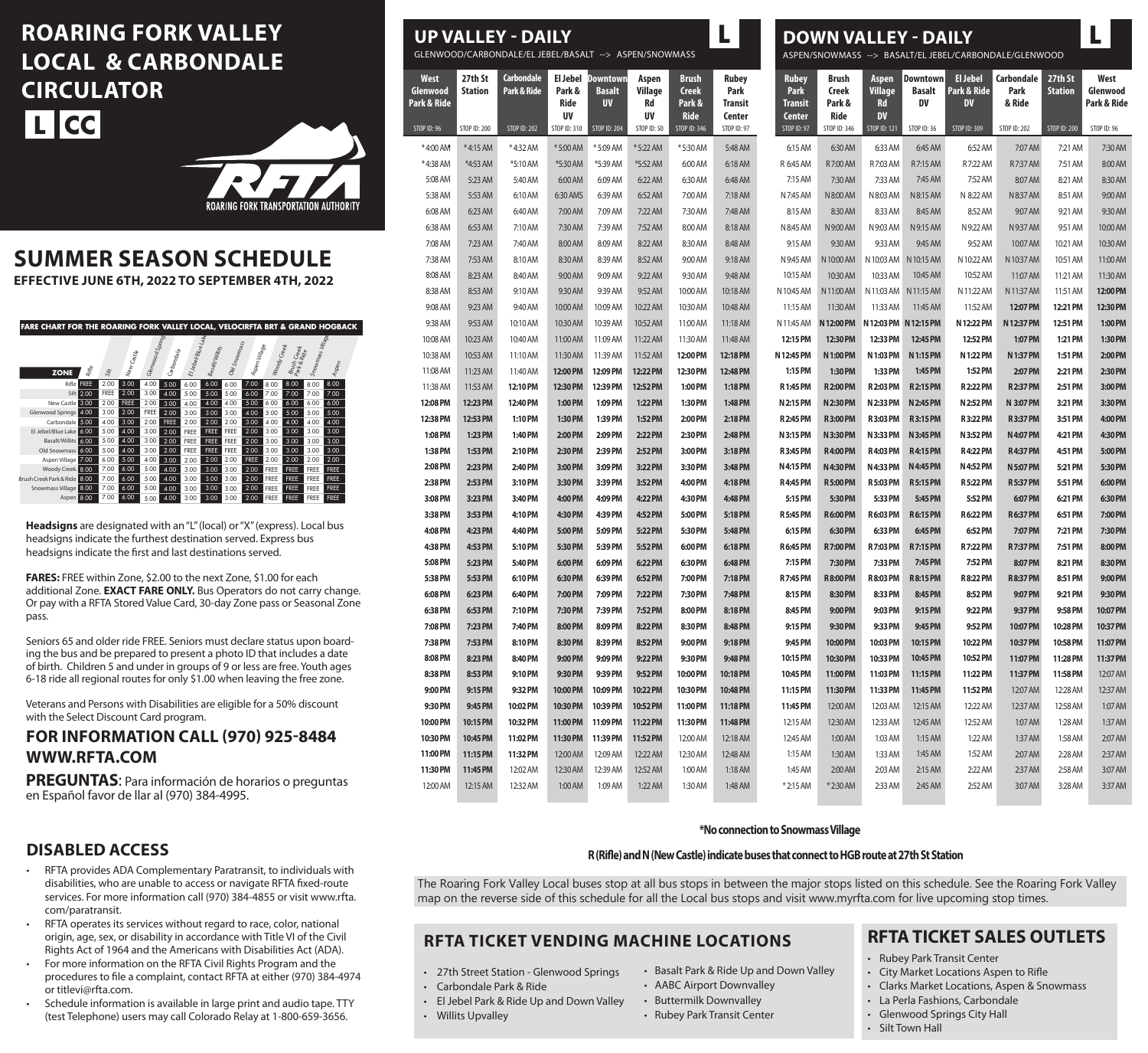# **ROARING FORK VALLEY LOCAL & CARBONDALE CIRCULATOR L CC**



# **SUMMER SEASON SCHEDULE**

**EFFECTIVE JUNE 6TH, 2022 TO SEPTEMBER 4TH, 2022**

| <b>FARE CHART FOR THE ROARING FORK VALLEY LOCAL, VELOCIRFTA BRT &amp; GRAND HOGBACK</b> |      |             |             |                 |             |                    |                        |              |               |             |                            |                  |                     |  |
|-----------------------------------------------------------------------------------------|------|-------------|-------------|-----------------|-------------|--------------------|------------------------|--------------|---------------|-------------|----------------------------|------------------|---------------------|--|
|                                                                                         |      |             |             |                 |             |                    |                        |              |               |             |                            |                  |                     |  |
|                                                                                         |      |             |             |                 |             |                    |                        |              |               |             |                            |                  |                     |  |
|                                                                                         |      |             |             |                 |             |                    |                        |              |               |             |                            |                  |                     |  |
|                                                                                         |      |             |             |                 |             |                    |                        |              |               |             |                            |                  |                     |  |
| <b>ZONE</b>                                                                             | Rine | Site        | New Castle  | Glenwood Spring | Grbondale   | El Jebel/Blue Lake | <b>Basalt Avillits</b> | Old Snowmass | Aspen Village | Woody Creek | Brush Creek<br>Park & Ride | Snowmass Village | $A_{\mathcal{P}$ en |  |
| Rifle                                                                                   | FREE | 2.00        | 3.00        | 4.00            | 5.00        | 6.00               | 6.00                   | 6.00         | 7.00          | 8.00        | 8.00                       | 8.00             | 8.00                |  |
| Silt I                                                                                  | 2.00 | <b>FREE</b> | 2.00        | 3.00            | 4.00        | 5.00               | 5.00                   | 5.00         | 6.00          | 7.00        | 7.00                       | 7.00             | 7.00                |  |
| New Castle                                                                              | 3.00 | 2.00        | <b>FREE</b> | 2.00            | 3.00        | 4.00               | 4.00                   | 4.00         | 5.00          | 6.00        | 6.00                       | 6.00             | 6.00                |  |
| Glenwood Springs 4.00                                                                   |      | 3.00        | 2.00        | <b>FREE</b>     | 2.00        | 3.00               | 3.00                   | 3.00         | 4.00          | 5.00        | 5.00                       | 5.00             | 5.00                |  |
| Carbondale 5.00                                                                         |      | 4.00        | 3.00        | 2.00            | <b>FREE</b> | 2.00               | 2.00                   | 2.00         | 3.00          | 4.00        | 4.00                       | 4.00             | 4.00                |  |
| El Jebel/Blue Lake 6.00                                                                 |      | 5.00        | 4.00        | 3.00            | 2.00        | FREE               | <b>FREE</b>            | <b>FREE</b>  | 2.00          | 3.00        | 3.00                       | 3.00             | 3.00                |  |
| Basalt/Willits 6.00                                                                     |      | 5.00        | 4.00        | 3.00            | 2.00        | FREE               | <b>FREE</b>            | <b>FREE</b>  | 2.00          | 3.00        | 3.00                       | 3.00             | 3.00                |  |
| Old Snowmass 6:00                                                                       |      | 5.00        | 4.00        | 3.00            | 2.00        | <b>FREE</b>        | <b>FREE</b>            | <b>FREE</b>  | 2.00          | 3.00        | 3.00                       | 3.00             | 3.00                |  |
| Aspen Village 7.00                                                                      |      | 6.00        | 5.00        | 4.00            | 3.00        | 2.00               | 2.00                   | 2.00         | FREE          | 2.00        | 2.00                       | 2.00             | 2.00                |  |
| Woody Creek 8.00                                                                        |      | 7.00        | 6.00        | 5.00            | 4.00        | 3.00               | 3.00                   | 3.00         | 2.00          | FREE        | <b>FREE</b>                | <b>FREE</b>      | <b>FREE</b>         |  |
| Brush Creek Park & Ride 3.00                                                            |      | 7.00        | 6.00        | 5.00            | 4.00        | 3.00               | 3.00                   | 3.00         | 2.00          | FREE        | <b>FREE</b>                | <b>FREE</b>      | <b>FREE</b>         |  |
| Snowmass Village 8.00                                                                   |      | 7.00        | 6.00        | 5.00            | 4.00        | 3.00               | 3.00                   | 3.00         | 2.00          | FREE        | <b>FREE</b>                | <b>FREE</b>      | <b>FREE</b>         |  |
| Aspen 8.00                                                                              |      | 7.00        | 6.00        | 5.00            | 4.00        | 3.00               | 3.00                   | 3.00         | 2.00          | FREE        | <b>FREE</b>                | <b>FREE</b>      | <b>FREE</b>         |  |

**Headsigns** are designated with an "L" (local) or "X" (express). Local bus headsigns indicate the furthest destination served. Express bus headsigns indicate the first and last destinations served.

**FARES:** FREE within Zone, \$2.00 to the next Zone, \$1.00 for each additional Zone. **EXACT FARE ONLY.** Bus Operators do not carry change. Or pay with a RFTA Stored Value Card, 30-day Zone pass or Seasonal Zone pass.

Seniors 65 and older ride FREE. Seniors must declare status upon boarding the bus and be prepared to present a photo ID that includes a date of birth. Children 5 and under in groups of 9 or less are free. Youth ages 6-18 ride all regional routes for only \$1.00 when leaving the free zone.

Veterans and Persons with Disabilities are eligible for a 50% discount with the Select Discount Card program.

## **FOR INFORMATION CALL (970) 925-8484 WWW.RFTA.COM**

**PREGUNTAS**: Para información de horarios o preguntas en Español favor de llar al (970) 384-4995.

### **DISABLED ACCESS**

- RFTA provides ADA Complementary Paratransit, to individuals with disabilities, who are unable to access or navigate RFTA fixed-route services. For more information call (970) 384-4855 or visit www.rfta. com/paratransit.
- RFTA operates its services without regard to race, color, national origin, age, sex, or disability in accordance with Title VI of the Civil Rights Act of 1964 and the Americans with Disabilities Act (ADA).
- For more information on the RFTA Civil Rights Program and the procedures to file a complaint, contact RFTA at either (970) 384-4974 or titlevi@rfta.com.
- Schedule information is available in large print and audio tape. TTY (test Telephone) users may call Colorado Relay at 1-800-659-3656.

| <b>UP VALLEY - DAILY</b><br><b>DOWN VALLEY - DAILY</b><br>GLENWOOD/CARBONDALE/EL JEBEL/BASALT --> ASPEN/SNOWMASS<br>ASPEN/SNOWMASS --> BASALT/EL JEBEL/CARBONDALE/GLENWOOD |                                                                                                                                                                                                                                                                                                                                                                        |                                                                                                                                                                                                                                                                                                                                                                                     |                                                                                                                                                                                                                                                                                                                                                               |                                                                                                                                                                                                                                                                                                                                                                          |                                                                                                                                                                                                                                                                                                                                                                                      |                                                                                                                                                                                                                                                                                                                                                                          |                                                                                                                                                                                                                                                                                                                                                                         |                                                                                                                                                                                                                                                                                                                                                                                                                           |                                                                                                                                                                                                                                                                                                                                                                                                                                             |                                                                |                                                                                                                                                                                                                                                                                                                                                                                                                                                                                                                                                                                                                                                                                                                                                                                                                                                                                   |                              |                                                                                                                                                                                                                                                                                                                                                                                                                                                                                                                                                                                                                                                                                                                                                                                                                                                                                                                                                                             |                                                                                                                                                                                                                                                                                                                                                            |
|----------------------------------------------------------------------------------------------------------------------------------------------------------------------------|------------------------------------------------------------------------------------------------------------------------------------------------------------------------------------------------------------------------------------------------------------------------------------------------------------------------------------------------------------------------|-------------------------------------------------------------------------------------------------------------------------------------------------------------------------------------------------------------------------------------------------------------------------------------------------------------------------------------------------------------------------------------|---------------------------------------------------------------------------------------------------------------------------------------------------------------------------------------------------------------------------------------------------------------------------------------------------------------------------------------------------------------|--------------------------------------------------------------------------------------------------------------------------------------------------------------------------------------------------------------------------------------------------------------------------------------------------------------------------------------------------------------------------|--------------------------------------------------------------------------------------------------------------------------------------------------------------------------------------------------------------------------------------------------------------------------------------------------------------------------------------------------------------------------------------|--------------------------------------------------------------------------------------------------------------------------------------------------------------------------------------------------------------------------------------------------------------------------------------------------------------------------------------------------------------------------|-------------------------------------------------------------------------------------------------------------------------------------------------------------------------------------------------------------------------------------------------------------------------------------------------------------------------------------------------------------------------|---------------------------------------------------------------------------------------------------------------------------------------------------------------------------------------------------------------------------------------------------------------------------------------------------------------------------------------------------------------------------------------------------------------------------|---------------------------------------------------------------------------------------------------------------------------------------------------------------------------------------------------------------------------------------------------------------------------------------------------------------------------------------------------------------------------------------------------------------------------------------------|----------------------------------------------------------------|-----------------------------------------------------------------------------------------------------------------------------------------------------------------------------------------------------------------------------------------------------------------------------------------------------------------------------------------------------------------------------------------------------------------------------------------------------------------------------------------------------------------------------------------------------------------------------------------------------------------------------------------------------------------------------------------------------------------------------------------------------------------------------------------------------------------------------------------------------------------------------------|------------------------------|-----------------------------------------------------------------------------------------------------------------------------------------------------------------------------------------------------------------------------------------------------------------------------------------------------------------------------------------------------------------------------------------------------------------------------------------------------------------------------------------------------------------------------------------------------------------------------------------------------------------------------------------------------------------------------------------------------------------------------------------------------------------------------------------------------------------------------------------------------------------------------------------------------------------------------------------------------------------------------|------------------------------------------------------------------------------------------------------------------------------------------------------------------------------------------------------------------------------------------------------------------------------------------------------------------------------------------------------------|
| 27th St<br><b>Station</b>                                                                                                                                                  | Carbondale<br>Park & Ride                                                                                                                                                                                                                                                                                                                                              | El Jebel<br>Park &<br>Ride<br><b>UV</b>                                                                                                                                                                                                                                                                                                                                             | <b>Basalt</b><br><b>UV</b>                                                                                                                                                                                                                                                                                                                                    | Aspen<br>Village<br>Rd<br><b>UV</b>                                                                                                                                                                                                                                                                                                                                      | <b>Brush</b><br><b>Creek</b><br>Park &<br><b>Ride</b>                                                                                                                                                                                                                                                                                                                                | <b>Rubey</b><br>Park<br>Transit<br>Center                                                                                                                                                                                                                                                                                                                                | <b>Rubey</b><br>Park<br><b>Transit</b><br><b>Center</b>                                                                                                                                                                                                                                                                                                                 | Brush<br>Creek<br>Park &<br>Ride                                                                                                                                                                                                                                                                                                                                                                                          | Aspen<br>Village<br><b>Rd</b><br><b>DV</b>                                                                                                                                                                                                                                                                                                                                                                                                  | <b>Downtown</b><br><b>Basalt</b><br>DV                         | <b>El Jebel</b><br>Park & Ride<br><b>DV</b>                                                                                                                                                                                                                                                                                                                                                                                                                                                                                                                                                                                                                                                                                                                                                                                                                                       | Carbondale<br>Park<br>& Ride | 27th St<br><b>Station</b>                                                                                                                                                                                                                                                                                                                                                                                                                                                                                                                                                                                                                                                                                                                                                                                                                                                                                                                                                   | West<br>Glenwood<br>Park & Rid                                                                                                                                                                                                                                                                                                                             |
| <b>STOP ID: 200</b>                                                                                                                                                        | <b>STOP ID: 202</b>                                                                                                                                                                                                                                                                                                                                                    | STOP ID: 310                                                                                                                                                                                                                                                                                                                                                                        | <b>STOP ID: 204</b>                                                                                                                                                                                                                                                                                                                                           | STOP ID: 50                                                                                                                                                                                                                                                                                                                                                              | <b>STOP ID: 346</b>                                                                                                                                                                                                                                                                                                                                                                  | STOP ID: 97                                                                                                                                                                                                                                                                                                                                                              | <b>STOP ID: 97</b>                                                                                                                                                                                                                                                                                                                                                      | STOP ID: 346                                                                                                                                                                                                                                                                                                                                                                                                              | <b>STOP ID: 121</b>                                                                                                                                                                                                                                                                                                                                                                                                                         | STOP ID: 36                                                    | STOP ID: 309                                                                                                                                                                                                                                                                                                                                                                                                                                                                                                                                                                                                                                                                                                                                                                                                                                                                      | <b>STOP ID: 202</b>          | <b>STOP ID: 200</b>                                                                                                                                                                                                                                                                                                                                                                                                                                                                                                                                                                                                                                                                                                                                                                                                                                                                                                                                                         | STOP ID: 96                                                                                                                                                                                                                                                                                                                                                |
| *4:15 AM                                                                                                                                                                   | *4:32 AM                                                                                                                                                                                                                                                                                                                                                               | *5:00 AM                                                                                                                                                                                                                                                                                                                                                                            | *5:09 AM                                                                                                                                                                                                                                                                                                                                                      | *5:22 AM                                                                                                                                                                                                                                                                                                                                                                 | *5:30 AM                                                                                                                                                                                                                                                                                                                                                                             | 5:48 AM                                                                                                                                                                                                                                                                                                                                                                  | 6:15 AM                                                                                                                                                                                                                                                                                                                                                                 | 6:30 AM                                                                                                                                                                                                                                                                                                                                                                                                                   |                                                                                                                                                                                                                                                                                                                                                                                                                                             | 6:45 AM                                                        |                                                                                                                                                                                                                                                                                                                                                                                                                                                                                                                                                                                                                                                                                                                                                                                                                                                                                   | 7:07 AM                      | 7:21 AM                                                                                                                                                                                                                                                                                                                                                                                                                                                                                                                                                                                                                                                                                                                                                                                                                                                                                                                                                                     | 7:30 AM                                                                                                                                                                                                                                                                                                                                                    |
| *4:53 AM                                                                                                                                                                   | *5:10 AM                                                                                                                                                                                                                                                                                                                                                               | *5:30 AM                                                                                                                                                                                                                                                                                                                                                                            | *5:39 AM                                                                                                                                                                                                                                                                                                                                                      | *5:52 AM                                                                                                                                                                                                                                                                                                                                                                 | 6:00 AM                                                                                                                                                                                                                                                                                                                                                                              | 6:18 AM                                                                                                                                                                                                                                                                                                                                                                  | R 6:45 AM                                                                                                                                                                                                                                                                                                                                                               | R7:00 AM                                                                                                                                                                                                                                                                                                                                                                                                                  |                                                                                                                                                                                                                                                                                                                                                                                                                                             | R7:15 AM                                                       |                                                                                                                                                                                                                                                                                                                                                                                                                                                                                                                                                                                                                                                                                                                                                                                                                                                                                   | R7:37 AM                     | 7:51 AM                                                                                                                                                                                                                                                                                                                                                                                                                                                                                                                                                                                                                                                                                                                                                                                                                                                                                                                                                                     | 8:00 AM                                                                                                                                                                                                                                                                                                                                                    |
| 5:23 AM                                                                                                                                                                    | 5:40 AM                                                                                                                                                                                                                                                                                                                                                                | 6:00 AM                                                                                                                                                                                                                                                                                                                                                                             | 6:09 AM                                                                                                                                                                                                                                                                                                                                                       | 6:22 AM                                                                                                                                                                                                                                                                                                                                                                  | 6:30 AM                                                                                                                                                                                                                                                                                                                                                                              | 6:48 AM                                                                                                                                                                                                                                                                                                                                                                  | 7:15 AM                                                                                                                                                                                                                                                                                                                                                                 | 7:30 AM                                                                                                                                                                                                                                                                                                                                                                                                                   |                                                                                                                                                                                                                                                                                                                                                                                                                                             | 7:45 AM                                                        |                                                                                                                                                                                                                                                                                                                                                                                                                                                                                                                                                                                                                                                                                                                                                                                                                                                                                   | 8:07 AM                      | 8:21 AM                                                                                                                                                                                                                                                                                                                                                                                                                                                                                                                                                                                                                                                                                                                                                                                                                                                                                                                                                                     | 8:30 AM                                                                                                                                                                                                                                                                                                                                                    |
| 5:53 AM                                                                                                                                                                    | 6:10 AM                                                                                                                                                                                                                                                                                                                                                                | 6:30 AMS                                                                                                                                                                                                                                                                                                                                                                            | 6:39 AM                                                                                                                                                                                                                                                                                                                                                       | 6:52 AM                                                                                                                                                                                                                                                                                                                                                                  | 7:00 AM                                                                                                                                                                                                                                                                                                                                                                              | 7:18 AM                                                                                                                                                                                                                                                                                                                                                                  | N 7:45 AM                                                                                                                                                                                                                                                                                                                                                               | N 8:00 AM                                                                                                                                                                                                                                                                                                                                                                                                                 |                                                                                                                                                                                                                                                                                                                                                                                                                                             | N 8:15 AM                                                      |                                                                                                                                                                                                                                                                                                                                                                                                                                                                                                                                                                                                                                                                                                                                                                                                                                                                                   | N 8:37 AM                    | 8:51 AM                                                                                                                                                                                                                                                                                                                                                                                                                                                                                                                                                                                                                                                                                                                                                                                                                                                                                                                                                                     | 9:00 AM                                                                                                                                                                                                                                                                                                                                                    |
| 6:23 AM                                                                                                                                                                    | 6:40 AM                                                                                                                                                                                                                                                                                                                                                                | 7:00 AM                                                                                                                                                                                                                                                                                                                                                                             | 7:09 AM                                                                                                                                                                                                                                                                                                                                                       | 7:22 AM                                                                                                                                                                                                                                                                                                                                                                  | 7:30 AM                                                                                                                                                                                                                                                                                                                                                                              | 7:48 AM                                                                                                                                                                                                                                                                                                                                                                  | 8:15 AM                                                                                                                                                                                                                                                                                                                                                                 | 8:30 AM                                                                                                                                                                                                                                                                                                                                                                                                                   |                                                                                                                                                                                                                                                                                                                                                                                                                                             | 8:45 AM                                                        |                                                                                                                                                                                                                                                                                                                                                                                                                                                                                                                                                                                                                                                                                                                                                                                                                                                                                   | 9:07 AM                      | 9:21 AM                                                                                                                                                                                                                                                                                                                                                                                                                                                                                                                                                                                                                                                                                                                                                                                                                                                                                                                                                                     | 9:30 AM                                                                                                                                                                                                                                                                                                                                                    |
| 6:53 AM                                                                                                                                                                    | 7:10 AM                                                                                                                                                                                                                                                                                                                                                                | 7:30 AM                                                                                                                                                                                                                                                                                                                                                                             | 7:39 AM                                                                                                                                                                                                                                                                                                                                                       | 7:52 AM                                                                                                                                                                                                                                                                                                                                                                  | 8:00 AM                                                                                                                                                                                                                                                                                                                                                                              | 8:18 AM                                                                                                                                                                                                                                                                                                                                                                  | N 8:45 AM                                                                                                                                                                                                                                                                                                                                                               | N 9:00 AM                                                                                                                                                                                                                                                                                                                                                                                                                 |                                                                                                                                                                                                                                                                                                                                                                                                                                             | N 9:15 AM                                                      |                                                                                                                                                                                                                                                                                                                                                                                                                                                                                                                                                                                                                                                                                                                                                                                                                                                                                   | N 9:37 AM                    | 9:51 AM                                                                                                                                                                                                                                                                                                                                                                                                                                                                                                                                                                                                                                                                                                                                                                                                                                                                                                                                                                     | 10:00 AM                                                                                                                                                                                                                                                                                                                                                   |
| 7:23 AM                                                                                                                                                                    | 7:40 AM                                                                                                                                                                                                                                                                                                                                                                | 8:00 AM                                                                                                                                                                                                                                                                                                                                                                             | 8:09 AM                                                                                                                                                                                                                                                                                                                                                       | 8:22 AM                                                                                                                                                                                                                                                                                                                                                                  | 8:30 AM                                                                                                                                                                                                                                                                                                                                                                              | 8:48 AM                                                                                                                                                                                                                                                                                                                                                                  | 9:15 AM                                                                                                                                                                                                                                                                                                                                                                 | 9:30 AM                                                                                                                                                                                                                                                                                                                                                                                                                   |                                                                                                                                                                                                                                                                                                                                                                                                                                             | 9:45 AM                                                        |                                                                                                                                                                                                                                                                                                                                                                                                                                                                                                                                                                                                                                                                                                                                                                                                                                                                                   | 10:07 AM                     | 10:21 AM                                                                                                                                                                                                                                                                                                                                                                                                                                                                                                                                                                                                                                                                                                                                                                                                                                                                                                                                                                    | 10:30 AM                                                                                                                                                                                                                                                                                                                                                   |
| 7:53 AM                                                                                                                                                                    | 8:10 AM                                                                                                                                                                                                                                                                                                                                                                | 8:30 AM                                                                                                                                                                                                                                                                                                                                                                             | 8:39 AM                                                                                                                                                                                                                                                                                                                                                       | 8:52 AM                                                                                                                                                                                                                                                                                                                                                                  | 9:00 AM                                                                                                                                                                                                                                                                                                                                                                              | 9:18 AM                                                                                                                                                                                                                                                                                                                                                                  | N 9:45 AM                                                                                                                                                                                                                                                                                                                                                               | N 10:00 AM                                                                                                                                                                                                                                                                                                                                                                                                                |                                                                                                                                                                                                                                                                                                                                                                                                                                             |                                                                |                                                                                                                                                                                                                                                                                                                                                                                                                                                                                                                                                                                                                                                                                                                                                                                                                                                                                   | N 10:37 AM                   | 10:51 AM                                                                                                                                                                                                                                                                                                                                                                                                                                                                                                                                                                                                                                                                                                                                                                                                                                                                                                                                                                    | 11:00 AM                                                                                                                                                                                                                                                                                                                                                   |
|                                                                                                                                                                            |                                                                                                                                                                                                                                                                                                                                                                        | 9:00 AM                                                                                                                                                                                                                                                                                                                                                                             |                                                                                                                                                                                                                                                                                                                                                               |                                                                                                                                                                                                                                                                                                                                                                          |                                                                                                                                                                                                                                                                                                                                                                                      |                                                                                                                                                                                                                                                                                                                                                                          | 10:15 AM                                                                                                                                                                                                                                                                                                                                                                |                                                                                                                                                                                                                                                                                                                                                                                                                           |                                                                                                                                                                                                                                                                                                                                                                                                                                             | 10:45 AM                                                       |                                                                                                                                                                                                                                                                                                                                                                                                                                                                                                                                                                                                                                                                                                                                                                                                                                                                                   | 11:07 AM                     | 11:21 AM                                                                                                                                                                                                                                                                                                                                                                                                                                                                                                                                                                                                                                                                                                                                                                                                                                                                                                                                                                    | 11:30 AM                                                                                                                                                                                                                                                                                                                                                   |
|                                                                                                                                                                            |                                                                                                                                                                                                                                                                                                                                                                        |                                                                                                                                                                                                                                                                                                                                                                                     |                                                                                                                                                                                                                                                                                                                                                               |                                                                                                                                                                                                                                                                                                                                                                          |                                                                                                                                                                                                                                                                                                                                                                                      |                                                                                                                                                                                                                                                                                                                                                                          |                                                                                                                                                                                                                                                                                                                                                                         |                                                                                                                                                                                                                                                                                                                                                                                                                           |                                                                                                                                                                                                                                                                                                                                                                                                                                             |                                                                |                                                                                                                                                                                                                                                                                                                                                                                                                                                                                                                                                                                                                                                                                                                                                                                                                                                                                   |                              |                                                                                                                                                                                                                                                                                                                                                                                                                                                                                                                                                                                                                                                                                                                                                                                                                                                                                                                                                                             | 12:00 PM                                                                                                                                                                                                                                                                                                                                                   |
|                                                                                                                                                                            |                                                                                                                                                                                                                                                                                                                                                                        |                                                                                                                                                                                                                                                                                                                                                                                     |                                                                                                                                                                                                                                                                                                                                                               |                                                                                                                                                                                                                                                                                                                                                                          |                                                                                                                                                                                                                                                                                                                                                                                      |                                                                                                                                                                                                                                                                                                                                                                          |                                                                                                                                                                                                                                                                                                                                                                         |                                                                                                                                                                                                                                                                                                                                                                                                                           |                                                                                                                                                                                                                                                                                                                                                                                                                                             |                                                                |                                                                                                                                                                                                                                                                                                                                                                                                                                                                                                                                                                                                                                                                                                                                                                                                                                                                                   |                              |                                                                                                                                                                                                                                                                                                                                                                                                                                                                                                                                                                                                                                                                                                                                                                                                                                                                                                                                                                             | 12:30 PM                                                                                                                                                                                                                                                                                                                                                   |
|                                                                                                                                                                            |                                                                                                                                                                                                                                                                                                                                                                        |                                                                                                                                                                                                                                                                                                                                                                                     |                                                                                                                                                                                                                                                                                                                                                               |                                                                                                                                                                                                                                                                                                                                                                          |                                                                                                                                                                                                                                                                                                                                                                                      |                                                                                                                                                                                                                                                                                                                                                                          |                                                                                                                                                                                                                                                                                                                                                                         |                                                                                                                                                                                                                                                                                                                                                                                                                           |                                                                                                                                                                                                                                                                                                                                                                                                                                             |                                                                |                                                                                                                                                                                                                                                                                                                                                                                                                                                                                                                                                                                                                                                                                                                                                                                                                                                                                   |                              |                                                                                                                                                                                                                                                                                                                                                                                                                                                                                                                                                                                                                                                                                                                                                                                                                                                                                                                                                                             | 1:00 PM                                                                                                                                                                                                                                                                                                                                                    |
|                                                                                                                                                                            |                                                                                                                                                                                                                                                                                                                                                                        |                                                                                                                                                                                                                                                                                                                                                                                     |                                                                                                                                                                                                                                                                                                                                                               |                                                                                                                                                                                                                                                                                                                                                                          |                                                                                                                                                                                                                                                                                                                                                                                      |                                                                                                                                                                                                                                                                                                                                                                          |                                                                                                                                                                                                                                                                                                                                                                         |                                                                                                                                                                                                                                                                                                                                                                                                                           |                                                                                                                                                                                                                                                                                                                                                                                                                                             |                                                                |                                                                                                                                                                                                                                                                                                                                                                                                                                                                                                                                                                                                                                                                                                                                                                                                                                                                                   |                              |                                                                                                                                                                                                                                                                                                                                                                                                                                                                                                                                                                                                                                                                                                                                                                                                                                                                                                                                                                             | 1:30 PM                                                                                                                                                                                                                                                                                                                                                    |
|                                                                                                                                                                            |                                                                                                                                                                                                                                                                                                                                                                        |                                                                                                                                                                                                                                                                                                                                                                                     |                                                                                                                                                                                                                                                                                                                                                               |                                                                                                                                                                                                                                                                                                                                                                          |                                                                                                                                                                                                                                                                                                                                                                                      |                                                                                                                                                                                                                                                                                                                                                                          |                                                                                                                                                                                                                                                                                                                                                                         |                                                                                                                                                                                                                                                                                                                                                                                                                           |                                                                                                                                                                                                                                                                                                                                                                                                                                             |                                                                |                                                                                                                                                                                                                                                                                                                                                                                                                                                                                                                                                                                                                                                                                                                                                                                                                                                                                   |                              |                                                                                                                                                                                                                                                                                                                                                                                                                                                                                                                                                                                                                                                                                                                                                                                                                                                                                                                                                                             | 2:00 PM                                                                                                                                                                                                                                                                                                                                                    |
|                                                                                                                                                                            |                                                                                                                                                                                                                                                                                                                                                                        |                                                                                                                                                                                                                                                                                                                                                                                     |                                                                                                                                                                                                                                                                                                                                                               |                                                                                                                                                                                                                                                                                                                                                                          |                                                                                                                                                                                                                                                                                                                                                                                      |                                                                                                                                                                                                                                                                                                                                                                          |                                                                                                                                                                                                                                                                                                                                                                         |                                                                                                                                                                                                                                                                                                                                                                                                                           |                                                                                                                                                                                                                                                                                                                                                                                                                                             |                                                                |                                                                                                                                                                                                                                                                                                                                                                                                                                                                                                                                                                                                                                                                                                                                                                                                                                                                                   |                              |                                                                                                                                                                                                                                                                                                                                                                                                                                                                                                                                                                                                                                                                                                                                                                                                                                                                                                                                                                             | 2:30 PM                                                                                                                                                                                                                                                                                                                                                    |
|                                                                                                                                                                            |                                                                                                                                                                                                                                                                                                                                                                        |                                                                                                                                                                                                                                                                                                                                                                                     |                                                                                                                                                                                                                                                                                                                                                               |                                                                                                                                                                                                                                                                                                                                                                          |                                                                                                                                                                                                                                                                                                                                                                                      |                                                                                                                                                                                                                                                                                                                                                                          |                                                                                                                                                                                                                                                                                                                                                                         |                                                                                                                                                                                                                                                                                                                                                                                                                           |                                                                                                                                                                                                                                                                                                                                                                                                                                             |                                                                |                                                                                                                                                                                                                                                                                                                                                                                                                                                                                                                                                                                                                                                                                                                                                                                                                                                                                   |                              |                                                                                                                                                                                                                                                                                                                                                                                                                                                                                                                                                                                                                                                                                                                                                                                                                                                                                                                                                                             | 3:00 PM                                                                                                                                                                                                                                                                                                                                                    |
|                                                                                                                                                                            |                                                                                                                                                                                                                                                                                                                                                                        |                                                                                                                                                                                                                                                                                                                                                                                     |                                                                                                                                                                                                                                                                                                                                                               |                                                                                                                                                                                                                                                                                                                                                                          |                                                                                                                                                                                                                                                                                                                                                                                      |                                                                                                                                                                                                                                                                                                                                                                          |                                                                                                                                                                                                                                                                                                                                                                         |                                                                                                                                                                                                                                                                                                                                                                                                                           |                                                                                                                                                                                                                                                                                                                                                                                                                                             |                                                                |                                                                                                                                                                                                                                                                                                                                                                                                                                                                                                                                                                                                                                                                                                                                                                                                                                                                                   |                              |                                                                                                                                                                                                                                                                                                                                                                                                                                                                                                                                                                                                                                                                                                                                                                                                                                                                                                                                                                             | 3:30 PM                                                                                                                                                                                                                                                                                                                                                    |
|                                                                                                                                                                            |                                                                                                                                                                                                                                                                                                                                                                        |                                                                                                                                                                                                                                                                                                                                                                                     |                                                                                                                                                                                                                                                                                                                                                               |                                                                                                                                                                                                                                                                                                                                                                          |                                                                                                                                                                                                                                                                                                                                                                                      |                                                                                                                                                                                                                                                                                                                                                                          |                                                                                                                                                                                                                                                                                                                                                                         |                                                                                                                                                                                                                                                                                                                                                                                                                           |                                                                                                                                                                                                                                                                                                                                                                                                                                             |                                                                |                                                                                                                                                                                                                                                                                                                                                                                                                                                                                                                                                                                                                                                                                                                                                                                                                                                                                   |                              |                                                                                                                                                                                                                                                                                                                                                                                                                                                                                                                                                                                                                                                                                                                                                                                                                                                                                                                                                                             | 4:00 PM                                                                                                                                                                                                                                                                                                                                                    |
|                                                                                                                                                                            |                                                                                                                                                                                                                                                                                                                                                                        |                                                                                                                                                                                                                                                                                                                                                                                     |                                                                                                                                                                                                                                                                                                                                                               |                                                                                                                                                                                                                                                                                                                                                                          |                                                                                                                                                                                                                                                                                                                                                                                      |                                                                                                                                                                                                                                                                                                                                                                          |                                                                                                                                                                                                                                                                                                                                                                         |                                                                                                                                                                                                                                                                                                                                                                                                                           |                                                                                                                                                                                                                                                                                                                                                                                                                                             |                                                                |                                                                                                                                                                                                                                                                                                                                                                                                                                                                                                                                                                                                                                                                                                                                                                                                                                                                                   |                              |                                                                                                                                                                                                                                                                                                                                                                                                                                                                                                                                                                                                                                                                                                                                                                                                                                                                                                                                                                             | 4:30 PM                                                                                                                                                                                                                                                                                                                                                    |
|                                                                                                                                                                            |                                                                                                                                                                                                                                                                                                                                                                        |                                                                                                                                                                                                                                                                                                                                                                                     |                                                                                                                                                                                                                                                                                                                                                               |                                                                                                                                                                                                                                                                                                                                                                          |                                                                                                                                                                                                                                                                                                                                                                                      |                                                                                                                                                                                                                                                                                                                                                                          |                                                                                                                                                                                                                                                                                                                                                                         |                                                                                                                                                                                                                                                                                                                                                                                                                           |                                                                                                                                                                                                                                                                                                                                                                                                                                             |                                                                |                                                                                                                                                                                                                                                                                                                                                                                                                                                                                                                                                                                                                                                                                                                                                                                                                                                                                   |                              |                                                                                                                                                                                                                                                                                                                                                                                                                                                                                                                                                                                                                                                                                                                                                                                                                                                                                                                                                                             | 5:00 PM                                                                                                                                                                                                                                                                                                                                                    |
|                                                                                                                                                                            |                                                                                                                                                                                                                                                                                                                                                                        |                                                                                                                                                                                                                                                                                                                                                                                     |                                                                                                                                                                                                                                                                                                                                                               |                                                                                                                                                                                                                                                                                                                                                                          |                                                                                                                                                                                                                                                                                                                                                                                      |                                                                                                                                                                                                                                                                                                                                                                          |                                                                                                                                                                                                                                                                                                                                                                         |                                                                                                                                                                                                                                                                                                                                                                                                                           |                                                                                                                                                                                                                                                                                                                                                                                                                                             |                                                                |                                                                                                                                                                                                                                                                                                                                                                                                                                                                                                                                                                                                                                                                                                                                                                                                                                                                                   |                              |                                                                                                                                                                                                                                                                                                                                                                                                                                                                                                                                                                                                                                                                                                                                                                                                                                                                                                                                                                             | 5:30 PM                                                                                                                                                                                                                                                                                                                                                    |
|                                                                                                                                                                            |                                                                                                                                                                                                                                                                                                                                                                        |                                                                                                                                                                                                                                                                                                                                                                                     |                                                                                                                                                                                                                                                                                                                                                               |                                                                                                                                                                                                                                                                                                                                                                          |                                                                                                                                                                                                                                                                                                                                                                                      |                                                                                                                                                                                                                                                                                                                                                                          |                                                                                                                                                                                                                                                                                                                                                                         |                                                                                                                                                                                                                                                                                                                                                                                                                           |                                                                                                                                                                                                                                                                                                                                                                                                                                             |                                                                |                                                                                                                                                                                                                                                                                                                                                                                                                                                                                                                                                                                                                                                                                                                                                                                                                                                                                   |                              |                                                                                                                                                                                                                                                                                                                                                                                                                                                                                                                                                                                                                                                                                                                                                                                                                                                                                                                                                                             | 6:00 PM<br>6:30 PM                                                                                                                                                                                                                                                                                                                                         |
|                                                                                                                                                                            |                                                                                                                                                                                                                                                                                                                                                                        |                                                                                                                                                                                                                                                                                                                                                                                     |                                                                                                                                                                                                                                                                                                                                                               |                                                                                                                                                                                                                                                                                                                                                                          |                                                                                                                                                                                                                                                                                                                                                                                      |                                                                                                                                                                                                                                                                                                                                                                          |                                                                                                                                                                                                                                                                                                                                                                         |                                                                                                                                                                                                                                                                                                                                                                                                                           |                                                                                                                                                                                                                                                                                                                                                                                                                                             |                                                                |                                                                                                                                                                                                                                                                                                                                                                                                                                                                                                                                                                                                                                                                                                                                                                                                                                                                                   |                              |                                                                                                                                                                                                                                                                                                                                                                                                                                                                                                                                                                                                                                                                                                                                                                                                                                                                                                                                                                             | 7:00 PM                                                                                                                                                                                                                                                                                                                                                    |
|                                                                                                                                                                            |                                                                                                                                                                                                                                                                                                                                                                        |                                                                                                                                                                                                                                                                                                                                                                                     |                                                                                                                                                                                                                                                                                                                                                               |                                                                                                                                                                                                                                                                                                                                                                          |                                                                                                                                                                                                                                                                                                                                                                                      |                                                                                                                                                                                                                                                                                                                                                                          |                                                                                                                                                                                                                                                                                                                                                                         |                                                                                                                                                                                                                                                                                                                                                                                                                           |                                                                                                                                                                                                                                                                                                                                                                                                                                             |                                                                |                                                                                                                                                                                                                                                                                                                                                                                                                                                                                                                                                                                                                                                                                                                                                                                                                                                                                   |                              |                                                                                                                                                                                                                                                                                                                                                                                                                                                                                                                                                                                                                                                                                                                                                                                                                                                                                                                                                                             | 7:30 PM                                                                                                                                                                                                                                                                                                                                                    |
|                                                                                                                                                                            |                                                                                                                                                                                                                                                                                                                                                                        |                                                                                                                                                                                                                                                                                                                                                                                     |                                                                                                                                                                                                                                                                                                                                                               |                                                                                                                                                                                                                                                                                                                                                                          |                                                                                                                                                                                                                                                                                                                                                                                      |                                                                                                                                                                                                                                                                                                                                                                          |                                                                                                                                                                                                                                                                                                                                                                         |                                                                                                                                                                                                                                                                                                                                                                                                                           |                                                                                                                                                                                                                                                                                                                                                                                                                                             |                                                                |                                                                                                                                                                                                                                                                                                                                                                                                                                                                                                                                                                                                                                                                                                                                                                                                                                                                                   |                              |                                                                                                                                                                                                                                                                                                                                                                                                                                                                                                                                                                                                                                                                                                                                                                                                                                                                                                                                                                             | 8:00 PM                                                                                                                                                                                                                                                                                                                                                    |
|                                                                                                                                                                            |                                                                                                                                                                                                                                                                                                                                                                        |                                                                                                                                                                                                                                                                                                                                                                                     |                                                                                                                                                                                                                                                                                                                                                               |                                                                                                                                                                                                                                                                                                                                                                          |                                                                                                                                                                                                                                                                                                                                                                                      |                                                                                                                                                                                                                                                                                                                                                                          |                                                                                                                                                                                                                                                                                                                                                                         |                                                                                                                                                                                                                                                                                                                                                                                                                           |                                                                                                                                                                                                                                                                                                                                                                                                                                             |                                                                |                                                                                                                                                                                                                                                                                                                                                                                                                                                                                                                                                                                                                                                                                                                                                                                                                                                                                   |                              |                                                                                                                                                                                                                                                                                                                                                                                                                                                                                                                                                                                                                                                                                                                                                                                                                                                                                                                                                                             | 8:30 PM                                                                                                                                                                                                                                                                                                                                                    |
|                                                                                                                                                                            |                                                                                                                                                                                                                                                                                                                                                                        |                                                                                                                                                                                                                                                                                                                                                                                     |                                                                                                                                                                                                                                                                                                                                                               |                                                                                                                                                                                                                                                                                                                                                                          |                                                                                                                                                                                                                                                                                                                                                                                      |                                                                                                                                                                                                                                                                                                                                                                          |                                                                                                                                                                                                                                                                                                                                                                         |                                                                                                                                                                                                                                                                                                                                                                                                                           |                                                                                                                                                                                                                                                                                                                                                                                                                                             |                                                                |                                                                                                                                                                                                                                                                                                                                                                                                                                                                                                                                                                                                                                                                                                                                                                                                                                                                                   |                              |                                                                                                                                                                                                                                                                                                                                                                                                                                                                                                                                                                                                                                                                                                                                                                                                                                                                                                                                                                             | 9:00 PM                                                                                                                                                                                                                                                                                                                                                    |
|                                                                                                                                                                            |                                                                                                                                                                                                                                                                                                                                                                        |                                                                                                                                                                                                                                                                                                                                                                                     |                                                                                                                                                                                                                                                                                                                                                               |                                                                                                                                                                                                                                                                                                                                                                          |                                                                                                                                                                                                                                                                                                                                                                                      |                                                                                                                                                                                                                                                                                                                                                                          |                                                                                                                                                                                                                                                                                                                                                                         |                                                                                                                                                                                                                                                                                                                                                                                                                           |                                                                                                                                                                                                                                                                                                                                                                                                                                             |                                                                |                                                                                                                                                                                                                                                                                                                                                                                                                                                                                                                                                                                                                                                                                                                                                                                                                                                                                   |                              |                                                                                                                                                                                                                                                                                                                                                                                                                                                                                                                                                                                                                                                                                                                                                                                                                                                                                                                                                                             | 9:30 PM                                                                                                                                                                                                                                                                                                                                                    |
|                                                                                                                                                                            |                                                                                                                                                                                                                                                                                                                                                                        |                                                                                                                                                                                                                                                                                                                                                                                     |                                                                                                                                                                                                                                                                                                                                                               |                                                                                                                                                                                                                                                                                                                                                                          |                                                                                                                                                                                                                                                                                                                                                                                      |                                                                                                                                                                                                                                                                                                                                                                          |                                                                                                                                                                                                                                                                                                                                                                         |                                                                                                                                                                                                                                                                                                                                                                                                                           |                                                                                                                                                                                                                                                                                                                                                                                                                                             |                                                                |                                                                                                                                                                                                                                                                                                                                                                                                                                                                                                                                                                                                                                                                                                                                                                                                                                                                                   |                              |                                                                                                                                                                                                                                                                                                                                                                                                                                                                                                                                                                                                                                                                                                                                                                                                                                                                                                                                                                             | 10:07 PM                                                                                                                                                                                                                                                                                                                                                   |
|                                                                                                                                                                            |                                                                                                                                                                                                                                                                                                                                                                        |                                                                                                                                                                                                                                                                                                                                                                                     |                                                                                                                                                                                                                                                                                                                                                               |                                                                                                                                                                                                                                                                                                                                                                          |                                                                                                                                                                                                                                                                                                                                                                                      |                                                                                                                                                                                                                                                                                                                                                                          |                                                                                                                                                                                                                                                                                                                                                                         |                                                                                                                                                                                                                                                                                                                                                                                                                           |                                                                                                                                                                                                                                                                                                                                                                                                                                             |                                                                |                                                                                                                                                                                                                                                                                                                                                                                                                                                                                                                                                                                                                                                                                                                                                                                                                                                                                   |                              |                                                                                                                                                                                                                                                                                                                                                                                                                                                                                                                                                                                                                                                                                                                                                                                                                                                                                                                                                                             | 10:37 PM                                                                                                                                                                                                                                                                                                                                                   |
|                                                                                                                                                                            |                                                                                                                                                                                                                                                                                                                                                                        |                                                                                                                                                                                                                                                                                                                                                                                     |                                                                                                                                                                                                                                                                                                                                                               |                                                                                                                                                                                                                                                                                                                                                                          |                                                                                                                                                                                                                                                                                                                                                                                      |                                                                                                                                                                                                                                                                                                                                                                          |                                                                                                                                                                                                                                                                                                                                                                         |                                                                                                                                                                                                                                                                                                                                                                                                                           |                                                                                                                                                                                                                                                                                                                                                                                                                                             |                                                                |                                                                                                                                                                                                                                                                                                                                                                                                                                                                                                                                                                                                                                                                                                                                                                                                                                                                                   |                              |                                                                                                                                                                                                                                                                                                                                                                                                                                                                                                                                                                                                                                                                                                                                                                                                                                                                                                                                                                             | 11:07 PM                                                                                                                                                                                                                                                                                                                                                   |
|                                                                                                                                                                            |                                                                                                                                                                                                                                                                                                                                                                        |                                                                                                                                                                                                                                                                                                                                                                                     |                                                                                                                                                                                                                                                                                                                                                               |                                                                                                                                                                                                                                                                                                                                                                          |                                                                                                                                                                                                                                                                                                                                                                                      |                                                                                                                                                                                                                                                                                                                                                                          |                                                                                                                                                                                                                                                                                                                                                                         |                                                                                                                                                                                                                                                                                                                                                                                                                           |                                                                                                                                                                                                                                                                                                                                                                                                                                             |                                                                |                                                                                                                                                                                                                                                                                                                                                                                                                                                                                                                                                                                                                                                                                                                                                                                                                                                                                   |                              |                                                                                                                                                                                                                                                                                                                                                                                                                                                                                                                                                                                                                                                                                                                                                                                                                                                                                                                                                                             | 11:37 PM                                                                                                                                                                                                                                                                                                                                                   |
|                                                                                                                                                                            |                                                                                                                                                                                                                                                                                                                                                                        |                                                                                                                                                                                                                                                                                                                                                                                     |                                                                                                                                                                                                                                                                                                                                                               |                                                                                                                                                                                                                                                                                                                                                                          |                                                                                                                                                                                                                                                                                                                                                                                      |                                                                                                                                                                                                                                                                                                                                                                          |                                                                                                                                                                                                                                                                                                                                                                         |                                                                                                                                                                                                                                                                                                                                                                                                                           |                                                                                                                                                                                                                                                                                                                                                                                                                                             |                                                                |                                                                                                                                                                                                                                                                                                                                                                                                                                                                                                                                                                                                                                                                                                                                                                                                                                                                                   |                              |                                                                                                                                                                                                                                                                                                                                                                                                                                                                                                                                                                                                                                                                                                                                                                                                                                                                                                                                                                             | 12:07 AM                                                                                                                                                                                                                                                                                                                                                   |
|                                                                                                                                                                            |                                                                                                                                                                                                                                                                                                                                                                        |                                                                                                                                                                                                                                                                                                                                                                                     |                                                                                                                                                                                                                                                                                                                                                               |                                                                                                                                                                                                                                                                                                                                                                          |                                                                                                                                                                                                                                                                                                                                                                                      |                                                                                                                                                                                                                                                                                                                                                                          |                                                                                                                                                                                                                                                                                                                                                                         |                                                                                                                                                                                                                                                                                                                                                                                                                           |                                                                                                                                                                                                                                                                                                                                                                                                                                             |                                                                |                                                                                                                                                                                                                                                                                                                                                                                                                                                                                                                                                                                                                                                                                                                                                                                                                                                                                   |                              |                                                                                                                                                                                                                                                                                                                                                                                                                                                                                                                                                                                                                                                                                                                                                                                                                                                                                                                                                                             | 12:37 AM                                                                                                                                                                                                                                                                                                                                                   |
|                                                                                                                                                                            |                                                                                                                                                                                                                                                                                                                                                                        |                                                                                                                                                                                                                                                                                                                                                                                     |                                                                                                                                                                                                                                                                                                                                                               |                                                                                                                                                                                                                                                                                                                                                                          |                                                                                                                                                                                                                                                                                                                                                                                      |                                                                                                                                                                                                                                                                                                                                                                          |                                                                                                                                                                                                                                                                                                                                                                         |                                                                                                                                                                                                                                                                                                                                                                                                                           |                                                                                                                                                                                                                                                                                                                                                                                                                                             |                                                                |                                                                                                                                                                                                                                                                                                                                                                                                                                                                                                                                                                                                                                                                                                                                                                                                                                                                                   |                              |                                                                                                                                                                                                                                                                                                                                                                                                                                                                                                                                                                                                                                                                                                                                                                                                                                                                                                                                                                             | 1:07 AM                                                                                                                                                                                                                                                                                                                                                    |
|                                                                                                                                                                            |                                                                                                                                                                                                                                                                                                                                                                        |                                                                                                                                                                                                                                                                                                                                                                                     |                                                                                                                                                                                                                                                                                                                                                               |                                                                                                                                                                                                                                                                                                                                                                          |                                                                                                                                                                                                                                                                                                                                                                                      |                                                                                                                                                                                                                                                                                                                                                                          |                                                                                                                                                                                                                                                                                                                                                                         |                                                                                                                                                                                                                                                                                                                                                                                                                           |                                                                                                                                                                                                                                                                                                                                                                                                                                             |                                                                |                                                                                                                                                                                                                                                                                                                                                                                                                                                                                                                                                                                                                                                                                                                                                                                                                                                                                   |                              |                                                                                                                                                                                                                                                                                                                                                                                                                                                                                                                                                                                                                                                                                                                                                                                                                                                                                                                                                                             | 1:37 AM                                                                                                                                                                                                                                                                                                                                                    |
|                                                                                                                                                                            |                                                                                                                                                                                                                                                                                                                                                                        |                                                                                                                                                                                                                                                                                                                                                                                     |                                                                                                                                                                                                                                                                                                                                                               |                                                                                                                                                                                                                                                                                                                                                                          |                                                                                                                                                                                                                                                                                                                                                                                      |                                                                                                                                                                                                                                                                                                                                                                          |                                                                                                                                                                                                                                                                                                                                                                         |                                                                                                                                                                                                                                                                                                                                                                                                                           |                                                                                                                                                                                                                                                                                                                                                                                                                                             |                                                                |                                                                                                                                                                                                                                                                                                                                                                                                                                                                                                                                                                                                                                                                                                                                                                                                                                                                                   |                              |                                                                                                                                                                                                                                                                                                                                                                                                                                                                                                                                                                                                                                                                                                                                                                                                                                                                                                                                                                             | 2:07 AM                                                                                                                                                                                                                                                                                                                                                    |
|                                                                                                                                                                            |                                                                                                                                                                                                                                                                                                                                                                        |                                                                                                                                                                                                                                                                                                                                                                                     |                                                                                                                                                                                                                                                                                                                                                               |                                                                                                                                                                                                                                                                                                                                                                          |                                                                                                                                                                                                                                                                                                                                                                                      |                                                                                                                                                                                                                                                                                                                                                                          |                                                                                                                                                                                                                                                                                                                                                                         |                                                                                                                                                                                                                                                                                                                                                                                                                           |                                                                                                                                                                                                                                                                                                                                                                                                                                             |                                                                |                                                                                                                                                                                                                                                                                                                                                                                                                                                                                                                                                                                                                                                                                                                                                                                                                                                                                   |                              |                                                                                                                                                                                                                                                                                                                                                                                                                                                                                                                                                                                                                                                                                                                                                                                                                                                                                                                                                                             | 2:37 AM                                                                                                                                                                                                                                                                                                                                                    |
|                                                                                                                                                                            |                                                                                                                                                                                                                                                                                                                                                                        |                                                                                                                                                                                                                                                                                                                                                                                     |                                                                                                                                                                                                                                                                                                                                                               |                                                                                                                                                                                                                                                                                                                                                                          |                                                                                                                                                                                                                                                                                                                                                                                      |                                                                                                                                                                                                                                                                                                                                                                          |                                                                                                                                                                                                                                                                                                                                                                         |                                                                                                                                                                                                                                                                                                                                                                                                                           |                                                                                                                                                                                                                                                                                                                                                                                                                                             |                                                                |                                                                                                                                                                                                                                                                                                                                                                                                                                                                                                                                                                                                                                                                                                                                                                                                                                                                                   |                              |                                                                                                                                                                                                                                                                                                                                                                                                                                                                                                                                                                                                                                                                                                                                                                                                                                                                                                                                                                             | 3:07 AM                                                                                                                                                                                                                                                                                                                                                    |
| 12:15 AM                                                                                                                                                                   |                                                                                                                                                                                                                                                                                                                                                                        | 1:00 AM                                                                                                                                                                                                                                                                                                                                                                             | 1:09 AM                                                                                                                                                                                                                                                                                                                                                       | 1:22AM                                                                                                                                                                                                                                                                                                                                                                   | 1:30 AM                                                                                                                                                                                                                                                                                                                                                                              | 1:48 AM                                                                                                                                                                                                                                                                                                                                                                  | $*2:15AM$                                                                                                                                                                                                                                                                                                                                                               | *2:30 AM                                                                                                                                                                                                                                                                                                                                                                                                                  |                                                                                                                                                                                                                                                                                                                                                                                                                                             |                                                                |                                                                                                                                                                                                                                                                                                                                                                                                                                                                                                                                                                                                                                                                                                                                                                                                                                                                                   | 3:07 AM                      | 3:28 AM                                                                                                                                                                                                                                                                                                                                                                                                                                                                                                                                                                                                                                                                                                                                                                                                                                                                                                                                                                     | 3:37 AM                                                                                                                                                                                                                                                                                                                                                    |
|                                                                                                                                                                            | 8:23 AM<br>8:53 AM<br>9:23 AM<br>9:53 AM<br>10:23 AM<br>10:53 AM<br>11:23 AM<br>11:53 AM<br>12:23 PM<br>12:53 PM<br>1:23 PM<br>1:53 PM<br>2:23 PM<br>2:53 PM<br>3:23 PM<br>3:53 PM<br>4:23 PM<br>4:53 PM<br>5:23 PM<br>5:53 PM<br>6:23 PM<br>6:53 PM<br>7:23 PM<br>7:53 PM<br>8:23 PM<br>8:53 PM<br>9:15 PM<br>9:45 PM<br>10:15 PM<br>10:45 PM<br>11:15 PM<br>11:45 PM | 8:40 AM<br>9:10 AM<br>9:40 AM<br>10:10 AM<br>10:40 AM<br>11:10 AM<br>11:40 AM<br>12:10 PM<br>12:40 PM<br>1:10 PM<br>1:40 PM<br>2:10 PM<br>2:40 PM<br>3:10 PM<br>3:40 PM<br>4:10 PM<br>4:40 PM<br>5:10 PM<br>5:40 PM<br>6:10 PM<br>6:40 PM<br>7:10 PM<br>7:40 PM<br>8:10 PM<br>8:40 PM<br>9:10 PM<br>9:32 PM<br>10:02 PM<br>10:32 PM<br>11:02 PM<br>11:32 PM<br>12:02 AM<br>12:32 AM | 9:30 AM<br>10:00 AM<br>10:30 AM<br>11:00 AM<br>11:30 AM<br>12:00 PM<br>12:30 PM<br>1:00 PM<br>1:30 PM<br>2:00 PM<br>2:30 PM<br>3:00 PM<br>3:30 PM<br>4:00 PM<br>4:30 PM<br>5:00 PM<br>5:30 PM<br>6:00 PM<br>6:30 PM<br>7:00 PM<br>7:30 PM<br>8:00 PM<br>8:30 PM<br>9:00 PM<br>9:30 PM<br>10:00 PM<br>10:30 PM<br>11:00 PM<br>11:30 PM<br>12:00 AM<br>12:30 AM | 9:09 AM<br>9:39 AM<br>10:09 AM<br>10:39 AM<br>11:09 AM<br>11:39 AM<br>12:09 PM<br>12:39 PM<br>1:09 PM<br>1:39 PM<br>2:09 PM<br>2:39 PM<br>3:09 PM<br>3:39 PM<br>4:09 PM<br>4:39 PM<br>5:09 PM<br>5:39 PM<br>6:09 PM<br>6:39 PM<br>7:09 PM<br>7:39 PM<br>8:09 PM<br>8:39 PM<br>9:09 PM<br>9:39 PM<br>10:09 PM<br>10:39 PM<br>11:09 PM<br>11:39 PM<br>12:09 AM<br>12:39 AM | Downtown<br>9:22 AM<br>9:52 AM<br>10:22 AM<br>10:52 AM<br>11:22 AM<br>11:52 AM<br>12:22 PM<br>12:52 PM<br>1:22 PM<br>1:52 PM<br>2:22 PM<br>2:52 PM<br>3:22 PM<br>3:52 PM<br>4:22 PM<br>4:52 PM<br>5:22 PM<br>5:52 PM<br>6:22 PM<br>6:52 PM<br>7:22 PM<br>7:52 PM<br>8:22 PM<br>8:52 PM<br>9:22 PM<br>9:52 PM<br>10:22 PM<br>10:52 PM<br>11:22 PM<br>11:52 PM<br>12:22 AM<br>12:52 AM | 9:30 AM<br>10:00 AM<br>10:30 AM<br>11:00 AM<br>11:30 AM<br>12:00 PM<br>12:30 PM<br>1:00 PM<br>1:30 PM<br>2:00 PM<br>2:30 PM<br>3:00 PM<br>3:30 PM<br>4:00 PM<br>4:30 PM<br>5:00 PM<br>5:30 PM<br>6:00 PM<br>6:30 PM<br>7:00 PM<br>7:30 PM<br>8:00 PM<br>8:30 PM<br>9:00 PM<br>9:30 PM<br>10:00 PM<br>10:30 PM<br>11:00 PM<br>11:30 PM<br>12:00 AM<br>12:30 AM<br>1:00 AM | 9:48 AM<br>10:18 AM<br>10:48 AM<br>11:18 AM<br>11:48 AM<br>12:18 PM<br>12:48 PM<br>1:18 PM<br>1:48 PM<br>2:18 PM<br>2:48 PM<br>3:18 PM<br>3:48 PM<br>4:18 PM<br>4:48 PM<br>5:18 PM<br>5:48 PM<br>6:18 PM<br>6:48 PM<br>7:18 PM<br>7:48 PM<br>8:18 PM<br>8:48 PM<br>9:18 PM<br>9:48 PM<br>10:18 PM<br>10:48 PM<br>11:18 PM<br>11:48 PM<br>12:18 AM<br>12:48 AM<br>1:18AM | N 10:45 AM<br>11:15 AM<br>N 11:45 AM<br>12:15 PM<br>N 12:45 PM<br>1:15 PM<br>R1:45 PM<br>N 2:15 PM<br><b>R2:45 PM</b><br>N 3:15 PM<br><b>R3:45 PM</b><br>N 4:15 PM<br><b>R4:45 PM</b><br>5:15 PM<br><b>R5:45 PM</b><br>6:15 PM<br><b>R6:45 PM</b><br>7:15 PM<br><b>R7:45 PM</b><br>8:15 PM<br>8:45 PM<br>9:15 PM<br>9:45 PM<br>10:15 PM<br>10:45 PM<br>11:15 PM<br>11:45 PM<br>12:15 AM<br>12:45 AM<br>1:15 AM<br>1:45 AM | 10:30 AM<br>N 11:00 AM<br>11:30 AM<br>N 12:00 PM<br>12:30 PM<br>N 1:00 PM<br>1:30 PM<br><b>R2:00 PM</b><br>N 2:30 PM<br><b>R3:00 PM</b><br>N 3:30 PM<br><b>R4:00 PM</b><br>N 4:30 PM<br><b>R5:00 PM</b><br>5:30 PM<br><b>R6:00 PM</b><br>6:30 PM<br><b>R7:00 PM</b><br>7:30 PM<br><b>R8:00 PM</b><br>8:30 PM<br>9:00 PM<br>9:30 PM<br>10:00 PM<br>10:30 PM<br>11:00 PM<br>11:30 PM<br>12:00 AM<br>12:30 AM<br>1:00 AM<br>1:30 AM<br>2:00 AM | 1:33 PM<br>5:33 PM<br>6:33 PM<br>7:33 PM<br>8:33 PM<br>9:03 PM | 6:33 AM<br>R7:03 AM<br>7:33 AM<br>N 8:03 AM<br>8:33 AM<br>N 9:03 AM<br>9:33 AM<br>N 10:03 AM N 10:15 AM<br>10:33 AM<br>N 11:03 AM N 11:15 AM<br>11:33 AM<br>11:45 AM<br>N 12:03 PM N 12:15 PM<br>12:33 PM<br>12:45 PM<br>N 1:03 PM<br>N 1:15 PM<br>1:45 PM<br>R 2:03 PM<br><b>R2:15 PM</b><br>N 2:33 PM<br>N 2:45 PM<br>R3:03 PM<br>R3:15 PM<br>N 3:33 PM<br>N 3:45 PM<br><b>R4:03 PM</b><br><b>R4:15 PM</b><br>N 4:33 PM<br>N 4:45 PM<br>R 5:03 PM<br><b>R5:15 PM</b><br>5:45 PM<br>R 6:03 PM<br><b>R6:15 PM</b><br>6:45 PM<br>R7:03 PM<br>R7:15 PM<br>7:45 PM<br>R 8:03 PM<br><b>R8:15 PM</b><br>8:45 PM<br>9:15 PM<br>9:33 PM<br>9:45 PM<br>10:03 PM<br>10:15 PM<br>10:33 PM<br>10:45 PM<br>11:03 PM<br>11:15 PM<br>11:33 PM<br>11:45 PM<br>12:03 AM<br>12:15 AM<br>12:33 AM<br>12:45 AM<br>1:03 AM<br>1:15AM<br>1:33 AM<br>1:45 AM<br>2:03 AM<br>2:15AM<br>2:45 AM<br>2:33 AM |                              | 6:52 AM<br>R7:22 AM<br>7:52 AM<br>N 8:22 AM<br>8:52 AM<br>N 9:22 AM<br>9:52 AM<br>N 10:22 AM<br>10:52 AM<br>N 11:22 AM<br>N 11:37 AM<br>11:52 AM<br>12:07 PM<br>N 12:22 PM<br>N 12:37 PM<br>12:52 PM<br>1:07 PM<br>N 1:22 PM<br>N 1:37 PM<br>1:52 PM<br>2:07 PM<br><b>R2:22 PM</b><br><b>R2:37 PM</b><br>N 2:52 PM<br>N 3:07 PM<br>R3:22 PM<br><b>R3:37 PM</b><br>N 3:52 PM<br>N 4:07 PM<br><b>R4:22 PM</b><br><b>R4:37 PM</b><br>N 4:52 PM<br><b>N 5:07 PM</b><br>R 5:22 PM<br><b>R5:37 PM</b><br>5:52 PM<br>6:07 PM<br><b>R6:22 PM</b><br><b>R6:37 PM</b><br>6:52 PM<br>7:07 PM<br>R7:22 PM<br><b>R7:37 PM</b><br>7:52 PM<br>8:07 PM<br><b>R8:22 PM</b><br><b>R8:37 PM</b><br>8:52 PM<br>9:07 PM<br>9:22 PM<br>9:37 PM<br>9:52 PM<br>10:07 PM<br>10:22 PM<br>10:37 PM<br>10:52 PM<br>11:07 PM<br>11:22 PM<br>11:37 PM<br>11:52 PM<br>12:07 AM<br>12:22 AM<br>12:37 AM<br>12:52 AM<br>1:07 AM<br>1:22 AM<br>1:37 AM<br>1:52 AM<br>2:07 AM<br>2:22 AM<br>2:37 AM<br>2:52 AM | 11:51 AM<br>12:21 PM<br>12:51 PM<br>1:21 PM<br>1:51 PM<br>2:21 PM<br>2:51 PM<br>3:21 PM<br>3:51 PM<br>4:21 PM<br>4:51 PM<br>5:21 PM<br>5:51 PM<br>6:21 PM<br>6:51 PM<br>7:21 PM<br>7:51 PM<br>8:21 PM<br>8:51 PM<br>9:21 PM<br>9:58 PM<br>10:28 PM<br>10:58 PM<br>11:28 PM<br>11:58 PM<br>12:28 AM<br>12:58 AM<br>1:28 AM<br>1:58 AM<br>2:28 AM<br>2:58 AM |

#### **\*No connection to Snowmass Village**

### **R (Rifle) and N (New Castle) indicate buses that connect to HGB route at 27th St Station**

The Roaring Fork Valley Local buses stop at all bus stops in between the major stops listed on this schedule. See the Roaring Fork Valley map on the reverse side of this schedule for all the Local bus stops and visit www.myrfta.com for live upcoming stop times.

### **RFTA TICKET VENDING MACHINE LOCATIONS**

- 27th Street Station Glenwood Springs
- Carbondale Park & Ride
- El Jebel Park & Ride Up and Down Valley
- Willits Upvalley
- Basalt Park & Ride Up and Down Valley
- AABC Airport Downvalley
- Buttermilk Downvalley
- Rubey Park Transit Center

## **RFTA TICKET SALES OUTLETS**

- Rubey Park Transit Center
- City Market Locations Aspen to Rifle
- Clarks Market Locations, Aspen & Snowmass
- La Perla Fashions, Carbondale
- Glenwood Springs City Hall
- **Silt Town Hall**
- 

7:30 AM 8:00 AM 8:30 AM 9:00 AM 9:30 AM 10:00 AM 10:30 AM 11:00 AM 11:30 AM **12:00 PM 12:30 PM 1:00 PM 1:30 PM 2:00 PM 2:30 PM 3:00 PM 3:30 PM 4:00 PM 4:30 PM 5:00 PM 5:30 PM 6:00 PM 6:30 PM 7:00 PM 7:30 PM 8:00 PM 8:30 PM 9:00 PM 9:30 PM 10:07 PM 10:37 PM 11:07 PM 11:37 PM** 12:07 AM 12:37 AM 1:07 AM 1:37 AM 2:07 AM 2:37 AM 3:07 AM 3:37 AM